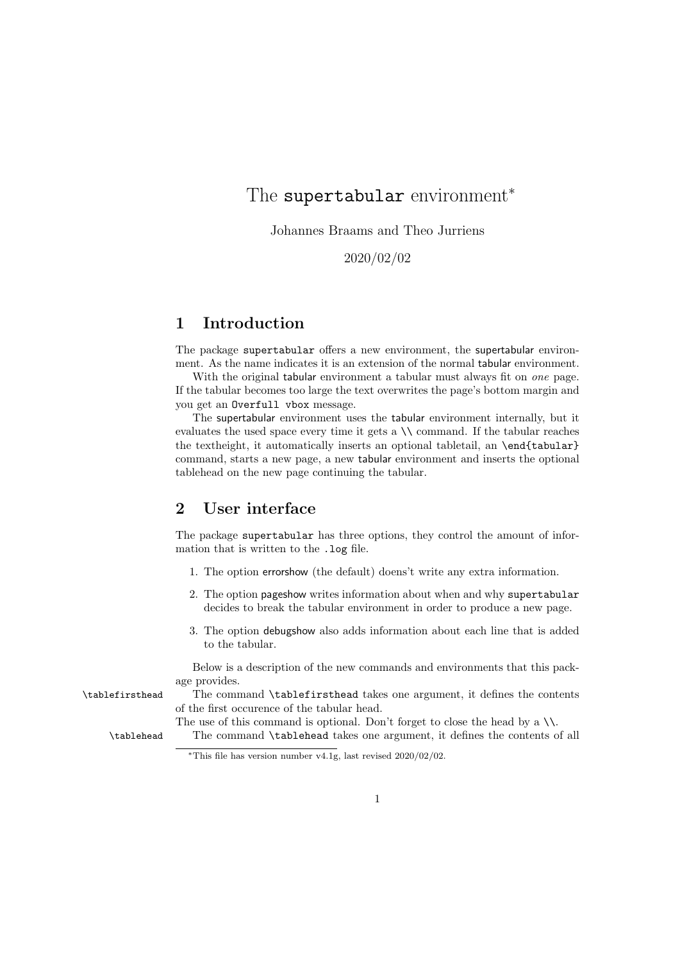# The supertabular environment<sup>\*</sup>

Johannes Braams and Theo Jurriens

2020/02/02

#### 1 Introduction

The package supertabular offers a new environment, the supertabular environment. As the name indicates it is an extension of the normal tabular environment.

With the original tabular environment a tabular must always fit on *one* page. If the tabular becomes too large the text overwrites the page's bottom margin and you get an Overfull vbox message.

The supertabular environment uses the tabular environment internally, but it evaluates the used space every time it gets a \\ command. If the tabular reaches the textheight, it automatically inserts an optional tabletail, an \end{tabular} command, starts a new page, a new tabular environment and inserts the optional tablehead on the new page continuing the tabular.

#### 2 User interface

The package supertabular has three options, they control the amount of information that is written to the .log file.

- 1. The option errorshow (the default) doens't write any extra information.
- 2. The option pageshow writes information about when and why supertabular decides to break the tabular environment in order to produce a new page.
- 3. The option debugshow also adds information about each line that is added to the tabular.

Below is a description of the new commands and environments that this package provides.

\tablefirsthead The command \tablefirsthead takes one argument, it defines the contents of the first occurence of the tabular head.

The use of this command is optional. Don't forget to close the head by a  $\setminus \setminus$ .

\tablehead The command \tablehead takes one argument, it defines the contents of all

<sup>\*</sup>This file has version number v4.1g, last revised  $2020/02/02$ .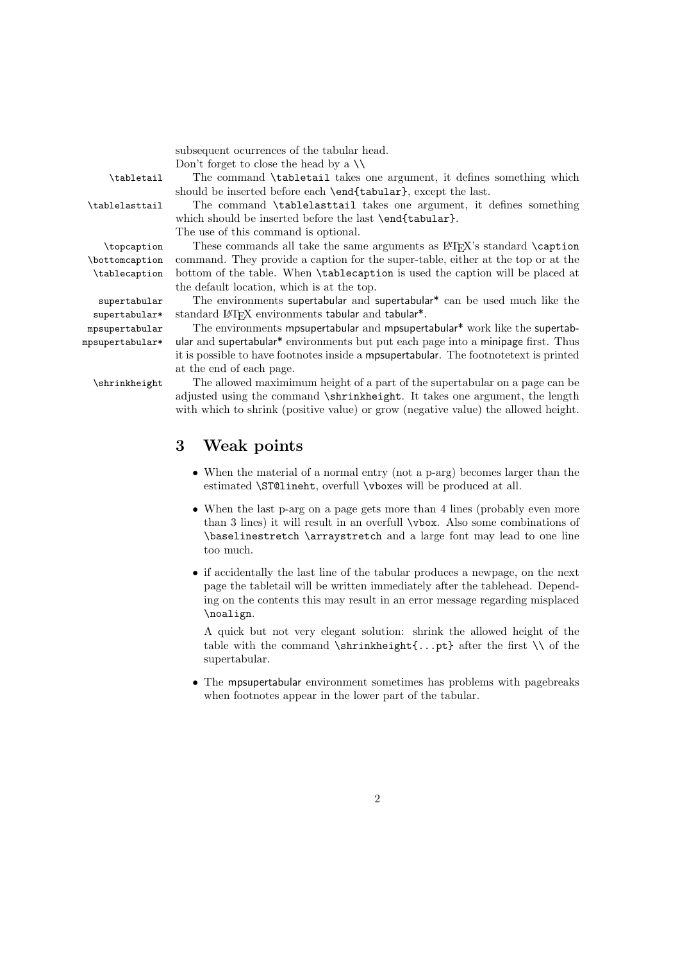subsequent ocurrences of the tabular head.

Don't forget to close the head by a  $\setminus$ 

\tabletail The command \tabletail takes one argument, it defines something which should be inserted before each \end{tabular}, except the last.

\tablelasttail The command \tablelasttail takes one argument, it defines something which should be inserted before the last \end{tabular}.

The use of this command is optional.

 $\to$  These commands all take the same arguments as  $BTRX$ 's standard  $\cap$ command. They provide a caption for the super-table, either at the top or at the bottom of the table. When \tablecaption is used the caption will be placed at the default location, which is at the top.

supertabular The environments supertabular and supertabular\* can be used much like the supertabular\* standard LATEX environments tabular and tabular<sup>\*</sup>.

mpsupertabular The environments mpsupertabular and mpsupertabular\* work like the supertabmpsupertabular\* ular and supertabular\* environments but put each page into a minipage first. Thus it is possible to have footnotes inside a mpsupertabular. The footnotetext is printed at the end of each page.

\shrinkheight The allowed maximimum height of a part of the supertabular on a page can be adjusted using the command \shrinkheight. It takes one argument, the length with which to shrink (positive value) or grow (negative value) the allowed height.

### 3 Weak points

- When the material of a normal entry (not a p-arg) becomes larger than the estimated \ST@lineht, overfull \vboxes will be produced at all.
- When the last p-arg on a page gets more than 4 lines (probably even more than 3 lines) it will result in an overfull \vbox. Also some combinations of \baselinestretch \arraystretch and a large font may lead to one line too much.
- if accidentally the last line of the tabular produces a newpage, on the next page the tabletail will be written immediately after the tablehead. Depending on the contents this may result in an error message regarding misplaced \noalign.

A quick but not very elegant solution: shrink the allowed height of the table with the command  $\sinh\theta$ ...pt} after the first  $\setminus$  of the supertabular.

• The mpsupertabular environment sometimes has problems with pagebreaks when footnotes appear in the lower part of the tabular.

\tablecaption

\bottomcaption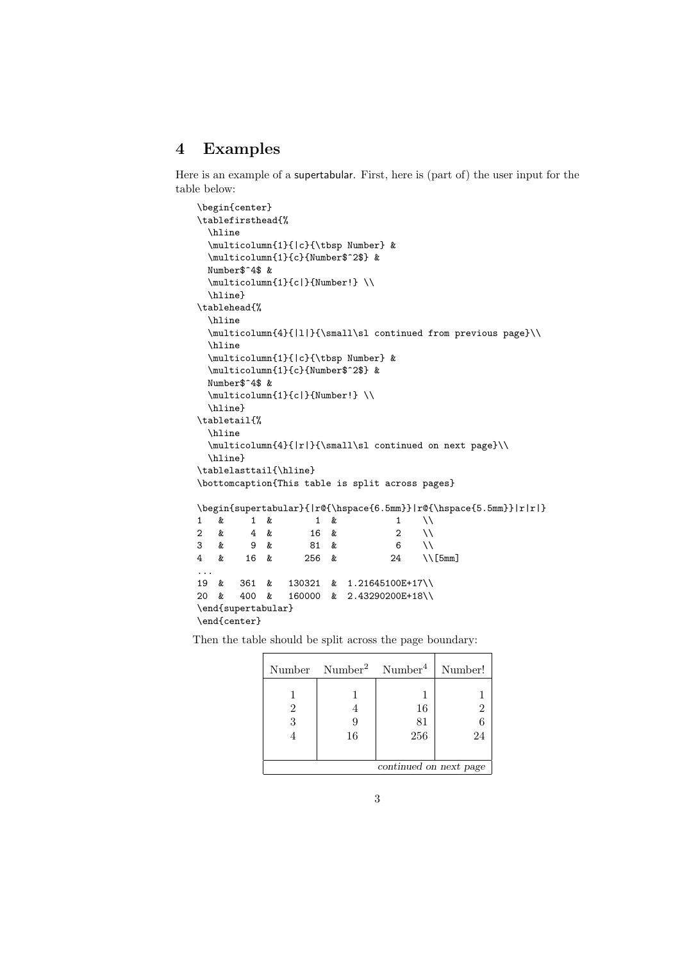### 4 Examples

Here is an example of a supertabular. First, here is (part of) the user input for the table below:

```
\begin{center}
\tablefirsthead{%
  \hline
  \multicolumn{1}{|c}{\tbsp Number} &
  \multicolumn{1}{c}{Number$^2$} &
  Number$^4$ &
  \multicolumn{1}{c|}{Number!} \\
  \hline}
\tablehead{%
  \hline
  \multicolumn{4}{|1|}{\small\sl continued from previous page}\\
  \hline
  \multicolumn{1}{|c}{\tbsp Number} &
  \multicolumn{1}{c}{Number$^2$} &
  Number$^4$ &
  \multicolumn{1}{c|}{Number!} \\
  \hline}
\tabletail{%
  \hline
  \multicolumn{4}{|r|}{\small\sl continued on next page}\\
  \hline}
\tablelasttail{\hline}
\bottomcaption{This table is split across pages}
\begin{supertabular}{|r@{\hspace{6.5mm}}|r@{\hspace{5.5mm}}|r|r|}
\begin{matrix} 1 & \& 1 & \& 1 & \& 1 & \& 1 & \& 1 & \& 1 & \& 1 & \& 1 & \& 1 & \& 1 & \& 1 & \& 1 & \& 1 & \& 1 & \& 1 & \& 1 & \& 1 & \& 1 & \& 1 & \& 1 & \& 1 & \& 1 & \& 1 & \&amp2 & 4 & 16 & 2 \\
\begin{array}{ccccccccc}\n3 & & x & & 9 & & & 81 & & & & & 6 & \}\n4 & & x & & 16 & & & 256 & & & & 24 & \ \end{array}\Upsilon 5mm]
...
19 & 361 & 130321 & 1.21645100E+17\\
20 & 400 & 160000 & 2.43290200E+18\\
\end{supertabular}
\end{center}
```
Then the table should be split across the page boundary:

|                        | Number Number <sup>2</sup> Number <sup>4</sup> |     | Number! |
|------------------------|------------------------------------------------|-----|---------|
|                        |                                                |     |         |
| 2                      |                                                | 16  |         |
| 3                      |                                                | 81  |         |
|                        | 16                                             | 256 | 24      |
|                        |                                                |     |         |
| continued on next page |                                                |     |         |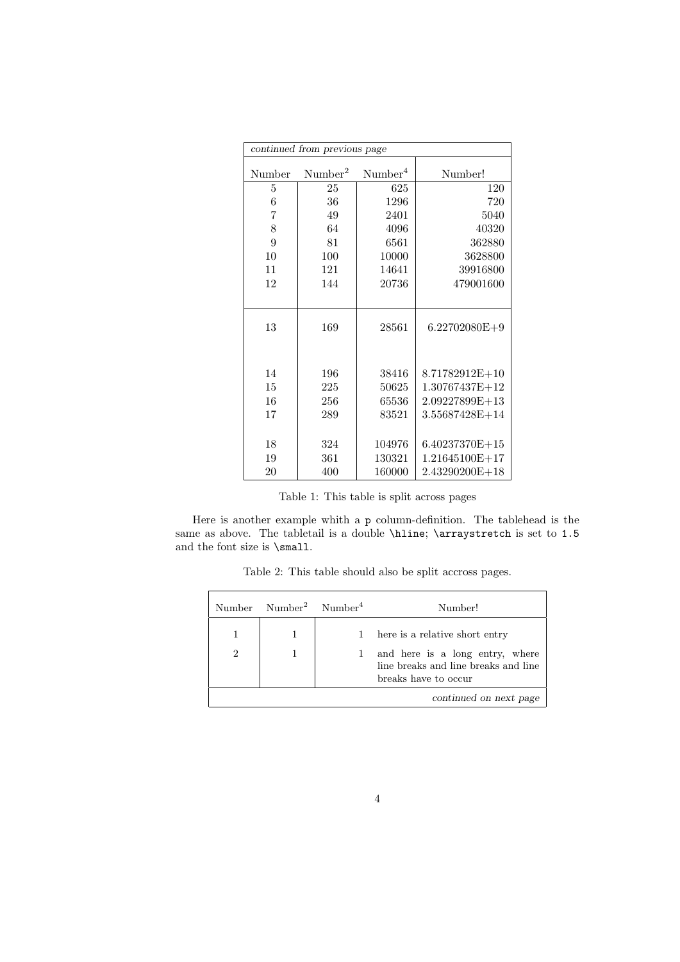|         | continued from previous page |                     |                  |
|---------|------------------------------|---------------------|------------------|
| Number  | Number <sup>2</sup>          | Number <sup>4</sup> | Number!          |
| $\bf 5$ | 25                           | 625                 | 120              |
| $\;6\;$ | 36                           | 1296                | 720              |
| 7       | 49                           | 2401                | 5040             |
| $8\,$   | 64                           | 4096                | 40320            |
| 9       | 81                           | 6561                | 362880           |
| 10      | 100                          | 10000               | 3628800          |
| 11      | 121                          | 14641               | 39916800         |
| 12      | 144                          | 20736               | 479001600        |
|         |                              |                     |                  |
| 13      | 169                          | 28561               | $6.22702080E+9$  |
| 14      | 196                          | 38416               | 8.71782912E+10   |
| 15      | 225                          | 50625               | 1.30767437E+12   |
| 16      | 256                          | 65536               | 2.09227899E+13   |
| 17      | 289                          | 83521               | $3.55687428E+14$ |
|         |                              |                     |                  |
| 18      | 324                          | 104976              | 6.40237370E+15   |
| 19      | 361                          | 130321              | 1.21645100E+17   |
| 20      | 400                          | 160000              | 2.43290200E+18   |

Table 1: This table is split across pages

Here is another example whith a p column-definition. The tablehead is the same as above. The tabletail is a double \hline; \arraystretch is set to 1.5 and the font size is \small.

Table 2: This table should also be split accross pages.

|                | $Number$ $Number^2$ $Number^4$ | Number!                                                                                         |
|----------------|--------------------------------|-------------------------------------------------------------------------------------------------|
|                |                                | 1 here is a relative short entry                                                                |
| $\overline{2}$ |                                | and here is a long entry, where<br>line breaks and line breaks and line<br>breaks have to occur |
|                |                                | continued on next page                                                                          |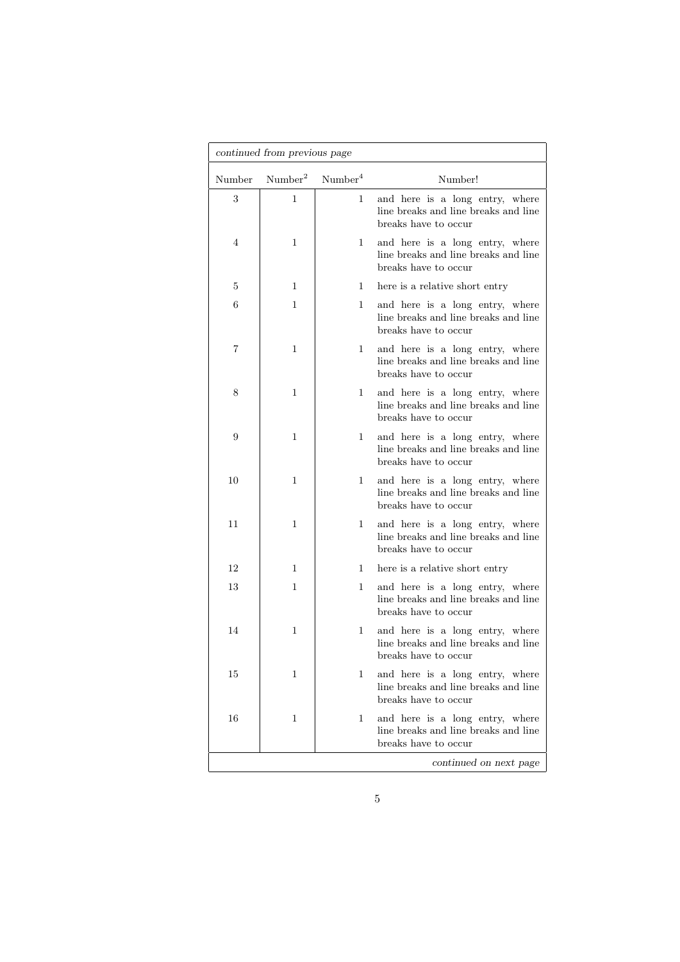|        | continued from previous page |                     |                                                                                                 |
|--------|------------------------------|---------------------|-------------------------------------------------------------------------------------------------|
| Number | Number <sup>2</sup>          | Number <sup>4</sup> | Number!                                                                                         |
| 3      | 1                            | 1                   | and here is a long entry, where<br>line breaks and line breaks and line<br>breaks have to occur |
| 4      | 1                            | $\mathbf{1}$        | and here is a long entry, where<br>line breaks and line breaks and line<br>breaks have to occur |
| 5      | 1                            | 1                   | here is a relative short entry                                                                  |
| 6      | 1                            | 1                   | and here is a long entry, where<br>line breaks and line breaks and line<br>breaks have to occur |
| 7      | 1                            | $\mathbf{1}$        | and here is a long entry, where<br>line breaks and line breaks and line<br>breaks have to occur |
| 8      | 1                            | $\mathbf{1}$        | and here is a long entry, where<br>line breaks and line breaks and line<br>breaks have to occur |
| 9      | 1                            | 1                   | and here is a long entry, where<br>line breaks and line breaks and line<br>breaks have to occur |
| 10     | 1                            | 1                   | and here is a long entry, where<br>line breaks and line breaks and line<br>breaks have to occur |
| 11     | 1                            | $\mathbf{1}$        | and here is a long entry, where<br>line breaks and line breaks and line<br>breaks have to occur |
| 12     | 1                            | 1                   | here is a relative short entry                                                                  |
| 13     | 1                            | 1                   | and here is a long entry, where<br>line breaks and line breaks and line<br>breaks have to occur |
| 14     | 1                            | 1                   | and here is a long entry, where<br>line breaks and line breaks and line<br>breaks have to occur |
| 15     | 1                            | 1                   | and here is a long entry, where<br>line breaks and line breaks and line<br>breaks have to occur |
| 16     | 1                            | 1                   | and here is a long entry, where<br>line breaks and line breaks and line<br>breaks have to occur |
|        |                              |                     | continued on next page                                                                          |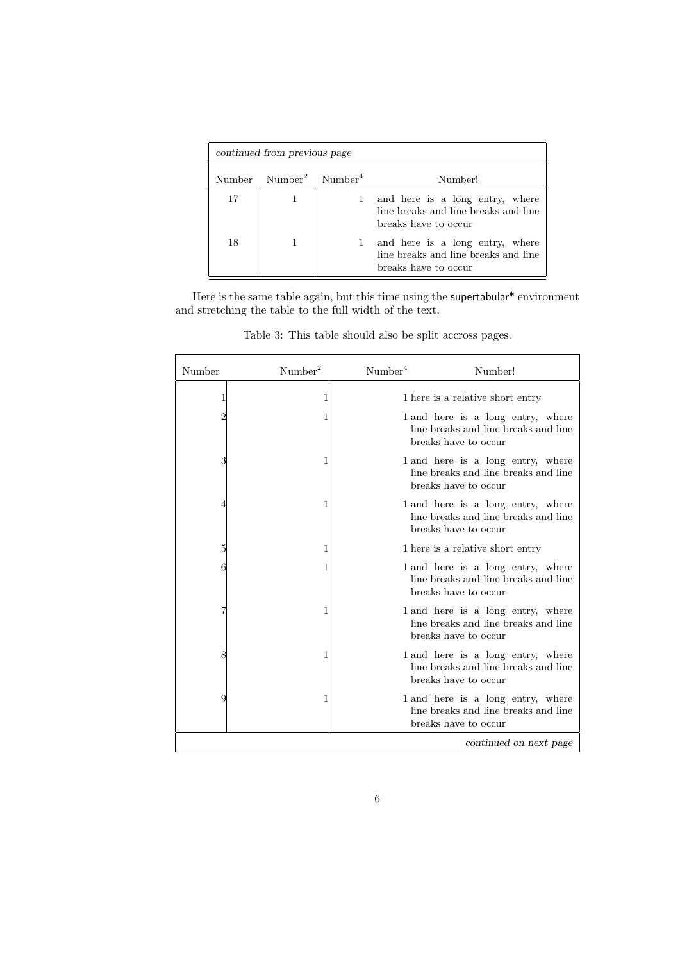| continued from previous page |                                       |  |                                                                                                 |
|------------------------------|---------------------------------------|--|-------------------------------------------------------------------------------------------------|
|                              | Number $Number^2$ Number <sup>4</sup> |  | Number!                                                                                         |
| 17                           |                                       |  | and here is a long entry, where<br>line breaks and line breaks and line<br>breaks have to occur |
| 18                           |                                       |  | and here is a long entry, where<br>line breaks and line breaks and line<br>breaks have to occur |

Here is the same table again, but this time using the supertabular\* environment and stretching the table to the full width of the text.

| Number | Number <sup>2</sup> | Number <sup>4</sup> | Number!                                                                                           |
|--------|---------------------|---------------------|---------------------------------------------------------------------------------------------------|
| 1      | 1                   |                     | 1 here is a relative short entry                                                                  |
| 2      | 1                   |                     | 1 and here is a long entry, where<br>line breaks and line breaks and line<br>breaks have to occur |
| 3      |                     |                     | 1 and here is a long entry, where<br>line breaks and line breaks and line<br>breaks have to occur |
|        |                     |                     | 1 and here is a long entry, where<br>line breaks and line breaks and line<br>breaks have to occur |
| 5      | 1                   |                     | 1 here is a relative short entry                                                                  |
|        | 1                   |                     | 1 and here is a long entry, where<br>line breaks and line breaks and line<br>breaks have to occur |
|        | 1                   |                     | 1 and here is a long entry, where<br>line breaks and line breaks and line<br>breaks have to occur |
| 8      | 1                   |                     | 1 and here is a long entry, where<br>line breaks and line breaks and line<br>breaks have to occur |
| 9      | 1                   |                     | 1 and here is a long entry, where<br>line breaks and line breaks and line<br>breaks have to occur |
|        |                     |                     | continued on next page                                                                            |

Table 3: This table should also be split accross pages.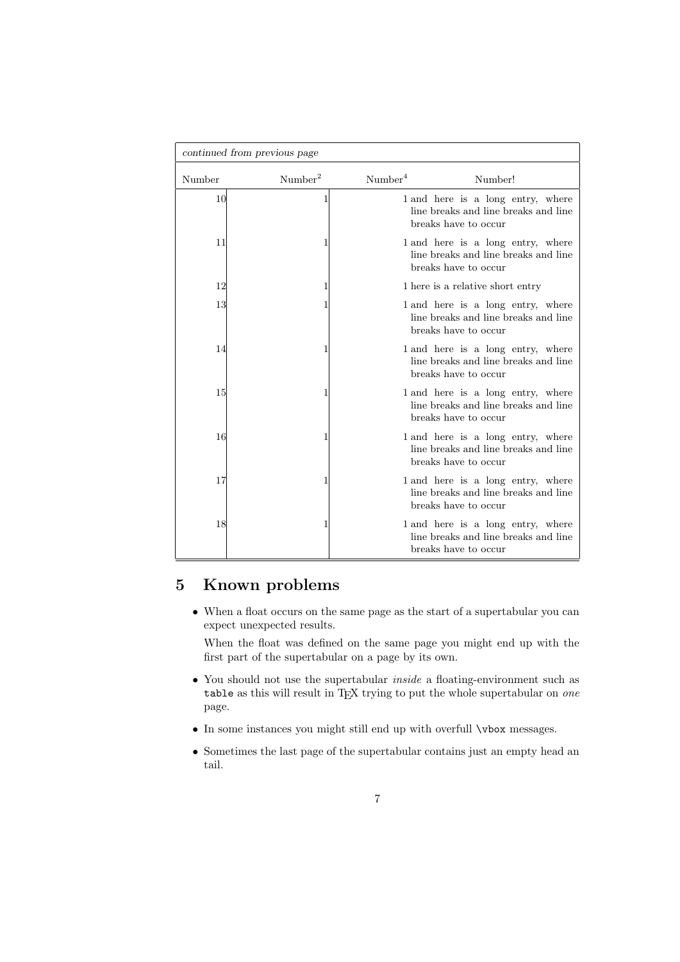|        | continued from previous page |                     |                                                                                                   |
|--------|------------------------------|---------------------|---------------------------------------------------------------------------------------------------|
| Number | Number <sup>2</sup>          | Number <sup>4</sup> | Number!                                                                                           |
| 10     |                              |                     | 1 and here is a long entry, where<br>line breaks and line breaks and line<br>breaks have to occur |
| 11     |                              |                     | 1 and here is a long entry, where<br>line breaks and line breaks and line<br>breaks have to occur |
| 12     |                              |                     | 1 here is a relative short entry                                                                  |
| 13     |                              |                     | 1 and here is a long entry, where<br>line breaks and line breaks and line<br>breaks have to occur |
| 14     |                              |                     | 1 and here is a long entry, where<br>line breaks and line breaks and line<br>breaks have to occur |
| 15     |                              |                     | 1 and here is a long entry, where<br>line breaks and line breaks and line<br>breaks have to occur |
| 16     |                              |                     | 1 and here is a long entry, where<br>line breaks and line breaks and line<br>breaks have to occur |
| 17     |                              |                     | 1 and here is a long entry, where<br>line breaks and line breaks and line<br>breaks have to occur |
| 18     |                              |                     | 1 and here is a long entry, where<br>line breaks and line breaks and line<br>breaks have to occur |

## 5 Known problems

• When a float occurs on the same page as the start of a supertabular you can expect unexpected results.

When the float was defined on the same page you might end up with the first part of the supertabular on a page by its own.

- You should not use the supertabular *inside* a floating-environment such as table as this will result in TEX trying to put the whole supertabular on one page.
- In some instances you might still end up with overfull \vbox messages.
- Sometimes the last page of the supertabular contains just an empty head an tail.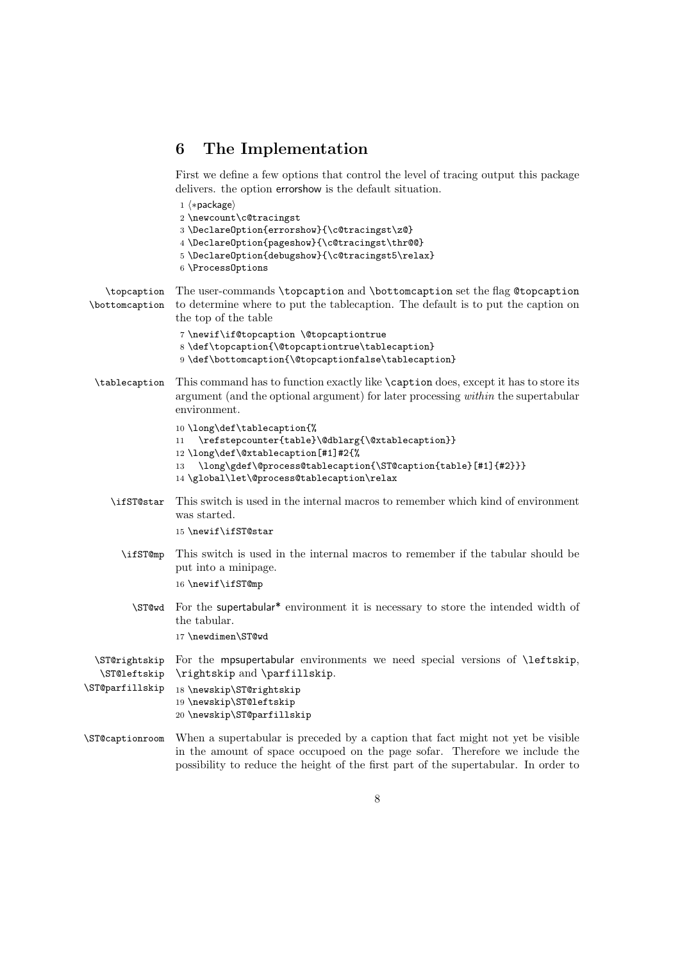# 6 The Implementation

First we define a few options that control the level of tracing output this package delivers. the option errorshow is the default situation.

|                                                  | $1$ $\langle *package \rangle$<br>2 \newcount\c@tracingst<br>3 \DeclareOption{errorshow}{\c@tracingst\z@}<br>4 \DeclareOption{pageshow}{\c@tracingst\thr@@}<br>$5 \ \{\C{at} \}\$<br>$6$ \Process0ptions                                              |
|--------------------------------------------------|-------------------------------------------------------------------------------------------------------------------------------------------------------------------------------------------------------------------------------------------------------|
| \topcaption<br>\bottomcaption                    | The user-commands \topcaption and \bottomcaption set the flag @topcaption<br>to determine where to put the tablecaption. The default is to put the caption on<br>the top of the table                                                                 |
|                                                  | 7 \newif\if@topcaption \@topcaptiontrue<br>8 \def\topcaption{\@topcaptiontrue\tablecaption}<br>9 \def\bottomcaption{\@topcaptionfalse\tablecaption}                                                                                                   |
| \tablecaption                                    | This command has to function exactly like <b>\caption</b> does, except it has to store its<br>argument (and the optional argument) for later processing <i>within</i> the supertabular<br>environment.                                                |
|                                                  | 10 \long\def\tablecaption{%<br>\refstepcounter{table}\@dblarg{\@xtablecaption}}<br>11<br>12\long\def\@xtablecaption[#1]#2{%<br>\long\gdef\@process@tablecaption{\ST@caption{table}[#1]{#2}}}<br>13<br>14 \global\let\@process@tablecaption\relax      |
| \ifST@star                                       | This switch is used in the internal macros to remember which kind of environment<br>was started.<br>15 \newif\ifST@star                                                                                                                               |
| \ifST@mp                                         | This switch is used in the internal macros to remember if the tabular should be<br>put into a minipage.<br>16 \newif\ifST@mp                                                                                                                          |
| \ST@wd                                           | For the supertabular* environment it is necessary to store the intended width of<br>the tabular.<br>17 \newdimen\ST@wd                                                                                                                                |
| \ST@rightskip<br>\ST@leftskip<br>\ST@parfillskip | For the mpsupertabular environments we need special versions of <i>\leftskip</i> ,<br>\rightskip and \parfillskip.<br>18 \newskip\ST@rightskip<br>19 \newskip\ST@leftskip<br>20 \newskip\ST@parfillskip                                               |
| \ST@captionroom                                  | When a supertabular is preceded by a caption that fact might not yet be visible<br>in the amount of space occupoed on the page sofar. Therefore we include the<br>possibility to reduce the height of the first part of the supertabular. In order to |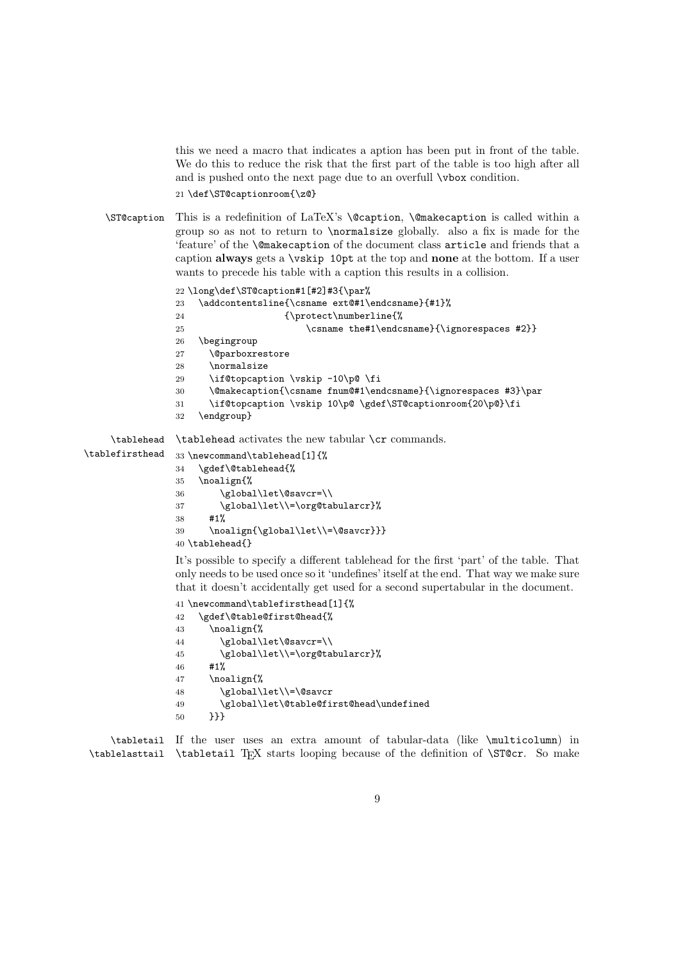this we need a macro that indicates a aption has been put in front of the table. We do this to reduce the risk that the first part of the table is too high after all and is pushed onto the next page due to an overfull \vbox condition. 21 \def\ST@captionroom{\z@}

\ST@caption This is a redefinition of LaTeX's \@caption, \@makecaption is called within a group so as not to return to \normalsize globally. also a fix is made for the 'feature' of the \@makecaption of the document class article and friends that a caption always gets a  $\text{vskip }$  10pt at the top and none at the bottom. If a user wants to precede his table with a caption this results in a collision.

```
22 \long\def\ST@caption#1[#2]#3{\par%
               23 \addcontentsline{\csname ext@#1\endcsname}{#1}%
               24 {\protect\numberline{%}
               25 \csname the#1\endcsname}{\ignorespaces #2}}
               26 \begingroup
               27 \@parboxrestore
               28 \normalsize
               29 \if@topcaption \vskip -10\p@ \fi
               30 \@makecaption{\csname fnum@#1\endcsname}{\ignorespaces #3}\par
               31 \if@topcaption \vskip 10\p@ \gdef\ST@captionroom{20\p@}\fi
               32 \endgroup}
    \tablehead
\tablefirsthead
               \tablehead activates the new tabular \cr commands.
               33 \newcommand\tablehead[1]{%
               34 \gdef\@tablehead{%
               35 \noalign{%
```

```
36 \global\let\@savcr=\\
37 \global\let\\=\org@tabularcr}%
38 #1%
39 \noalign{\global\let\\=\@savcr}}}
40 \tablehead{}
```
It's possible to specify a different tablehead for the first 'part' of the table. That only needs to be used once so it 'undefines' itself at the end. That way we make sure that it doesn't accidentally get used for a second supertabular in the document.

```
41 \newcommand\tablefirsthead[1]{%
42 \gdef\@table@first@head{%
43 \noalign{%
44 \global\let\@savcr=\\
45 \global\let\\=\org@tabularcr}%
46 #1%
47 \noalign{%
48 \global\let\\=\@savcr
49 \global\let\@table@first@head\undefined
50 }}}
```
\tabletail If the user uses an extra amount of tabular-data (like \multicolumn) in \tablelasttail \tabletail TEX starts looping because of the definition of \ST@cr. So make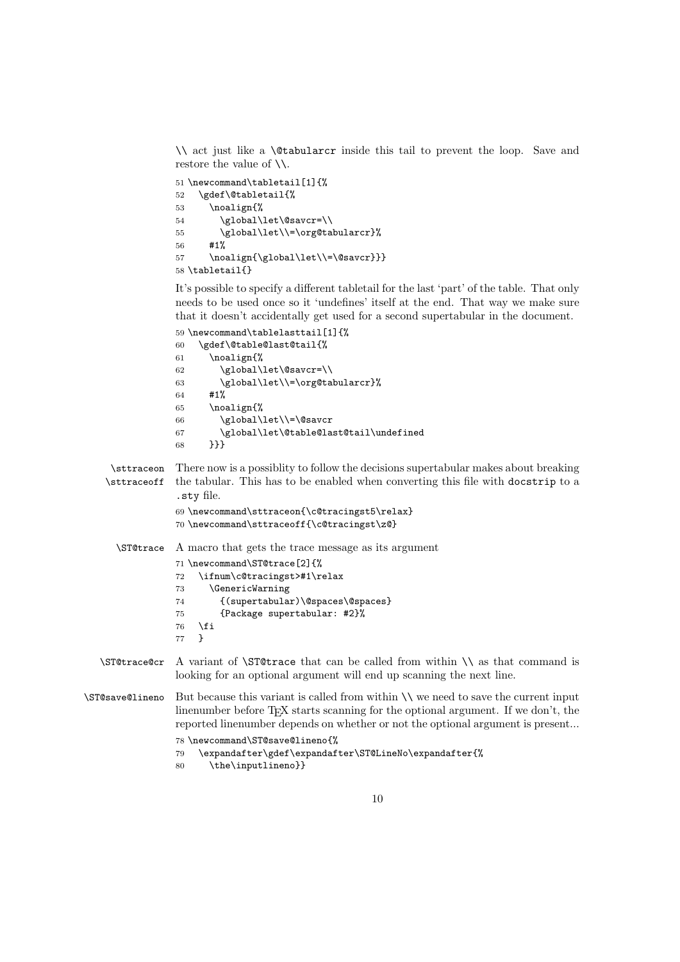\\ act just like a \@tabularcr inside this tail to prevent the loop. Save and restore the value of \\.

```
51 \newcommand\tabletail[1]{%
52 \gdef\@tabletail{%
53 \noalign{%
54 \global\let\@savcr=\\
55 \global\let\\=\org@tabularcr}%
56 #1%
57 \noalign{\global\let\\=\@savcr}}}
58 \tabletail{}
```
It's possible to specify a different tabletail for the last 'part' of the table. That only needs to be used once so it 'undefines' itself at the end. That way we make sure that it doesn't accidentally get used for a second supertabular in the document.

```
59 \newcommand\tablelasttail[1]{%
60 \gdef\@table@last@tail{%
61 \noalign{%
62 \global\let\@savcr=\\
63 \global\let\\=\org@tabularcr}%
64 #1%
65 \noalign{%
66 \global\let\\=\@savcr
67 \global\let\@table@last@tail\undefined
68 }}}
```
\sttraceon There now is a possiblity to follow the decisions supertabular makes about breaking \sttraceoff the tabular. This has to be enabled when converting this file with docstrip to a .sty file.

```
69 \newcommand\sttraceon{\c@tracingst5\relax}
70 \newcommand\sttraceoff{\c@tracingst\z@}
```
\ST@trace A macro that gets the trace message as its argument

```
71 \newcommand\ST@trace[2]{%
72 \ifnum\c@tracingst>#1\relax
73 \GenericWarning
74 {(supertabular)\@spaces\@spaces}
75 {Package supertabular: #2}%
76 \overline{f}77 }
```
\ST@trace@cr A variant of \ST@trace that can be called from within \\ as that command is looking for an optional argument will end up scanning the next line.

\ST@save@lineno But because this variant is called from within \\ we need to save the current input linenumber before TEX starts scanning for the optional argument. If we don't, the reported linenumber depends on whether or not the optional argument is present... 78 \newcommand\ST@save@lineno{%

```
79 \expandafter\gdef\expandafter\ST@LineNo\expandafter{%
```

```
80 \the\inputlineno}}
```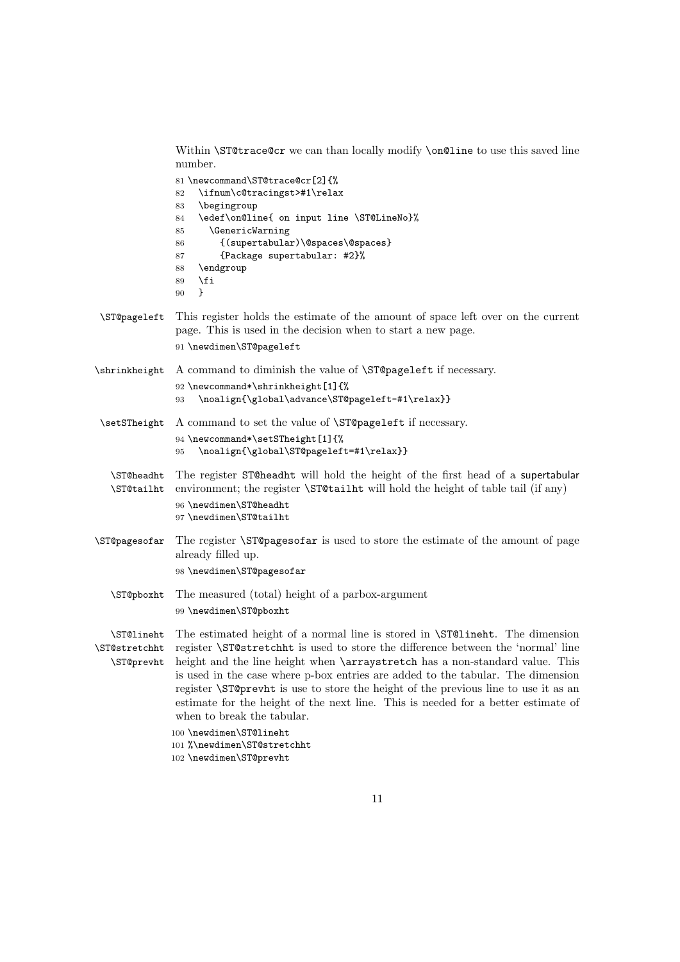Within **\ST@trace@cr** we can than locally modify **\on@line** to use this saved line number.

|                                           | 81 \newcommand\ST@trace@cr[2]{%<br>\ifnum\c@tracingst>#1\relax<br>82<br>\begingroup<br>83<br>\edef\on@line{ on input line \ST@LineNo}%<br>84<br><i><b>\GenericWarning</b></i><br>85<br>{(supertabular)\@spaces\@spaces}<br>86<br>{Package supertabular: #2}%<br>87<br>\endgroup<br>88<br>\fi<br>89<br>ł<br>90                                                                                                                                                                                                                                                                                    |
|-------------------------------------------|--------------------------------------------------------------------------------------------------------------------------------------------------------------------------------------------------------------------------------------------------------------------------------------------------------------------------------------------------------------------------------------------------------------------------------------------------------------------------------------------------------------------------------------------------------------------------------------------------|
| \ST@pageleft                              | This register holds the estimate of the amount of space left over on the current<br>page. This is used in the decision when to start a new page.<br>91 \newdimen\ST@pageleft                                                                                                                                                                                                                                                                                                                                                                                                                     |
| \shrinkheight                             | A command to diminish the value of <b>\ST@pageleft</b> if necessary.<br>92 \newcommand*\shrinkheight[1]{%<br>\noalign{\global\advance\ST@pageleft-#1\relax}}<br>93                                                                                                                                                                                                                                                                                                                                                                                                                               |
| \setSTheight                              | A command to set the value of <b>\ST@pageleft</b> if necessary.<br>94 \newcommand*\setSTheight[1]{%<br>\noalign{\global\ST@pageleft=#1\relax}}<br>95                                                                                                                                                                                                                                                                                                                                                                                                                                             |
| \ST@headht<br>\ST@tailht                  | The register ST@headht will hold the height of the first head of a supertabular<br>environment; the register <b>\ST@tailht</b> will hold the height of table tail (if any)<br>96 \newdimen\ST@headht<br>97 \newdimen\ST@tailht                                                                                                                                                                                                                                                                                                                                                                   |
| \ST@pagesofar                             | The register <b>\STCpagesofar</b> is used to store the estimate of the amount of page<br>already filled up.<br>98 \newdimen\ST@pagesofar                                                                                                                                                                                                                                                                                                                                                                                                                                                         |
| \ST@pboxht                                | The measured (total) height of a parbox-argument<br>99 \newdimen\ST@pboxht                                                                                                                                                                                                                                                                                                                                                                                                                                                                                                                       |
| \ST@lineht<br>\ST@stretchht<br>\ST@prevht | The estimated height of a normal line is stored in <b>\ST@lineht</b> . The dimension<br>register \ST@stretchht is used to store the difference between the 'normal' line<br>height and the line height when <b>\arraystretch</b> has a non-standard value. This<br>is used in the case where p-box entries are added to the tabular. The dimension<br>register <b>STO</b> previous is use to store the height of the previous line to use it as an<br>estimate for the height of the next line. This is needed for a better estimate of<br>when to break the tabular.<br>100 \newdimen\ST@lineht |
|                                           | 101 %\newdimen\ST@stretchht<br>102 \newdimen\ST@prevht                                                                                                                                                                                                                                                                                                                                                                                                                                                                                                                                           |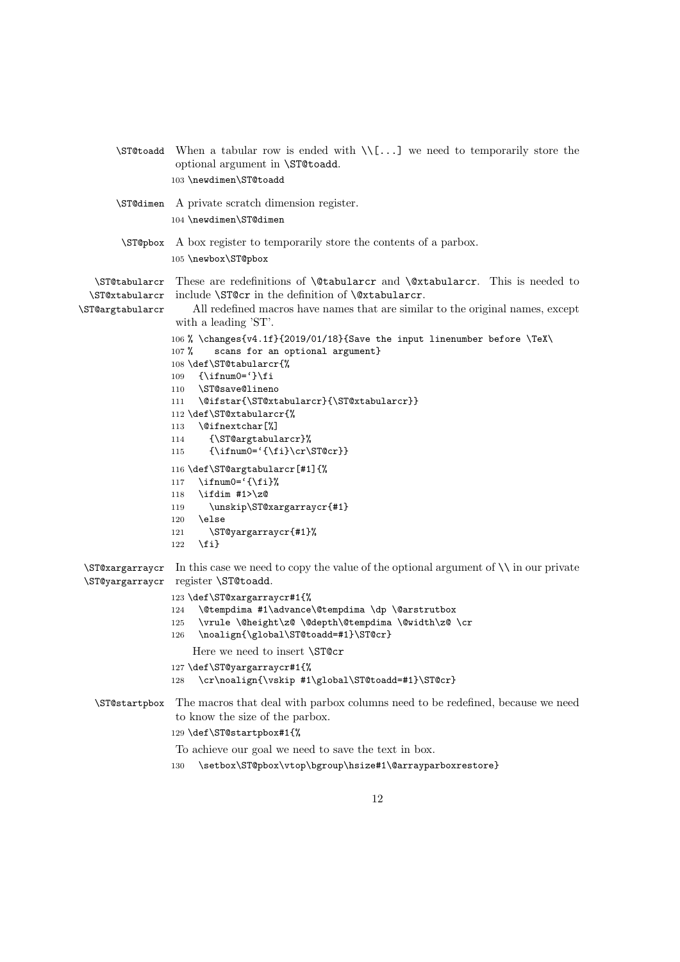|                                                     | $\Sigma$ is ended with $\Upsilon$ we need to temporarily store the<br>optional argument in \ST@toadd.<br>103 \newdimen\ST@toadd                                                                                                                                                                                                                                                                                                                                                                                                                                                                                                                                                                                                                                                                                                                                    |  |  |  |
|-----------------------------------------------------|--------------------------------------------------------------------------------------------------------------------------------------------------------------------------------------------------------------------------------------------------------------------------------------------------------------------------------------------------------------------------------------------------------------------------------------------------------------------------------------------------------------------------------------------------------------------------------------------------------------------------------------------------------------------------------------------------------------------------------------------------------------------------------------------------------------------------------------------------------------------|--|--|--|
| \ST@dimen                                           | A private scratch dimension register.<br>104 \newdimen\ST@dimen                                                                                                                                                                                                                                                                                                                                                                                                                                                                                                                                                                                                                                                                                                                                                                                                    |  |  |  |
| \ST@pbox                                            | A box register to temporarily store the contents of a parbox.<br>105 \newbox\ST@pbox                                                                                                                                                                                                                                                                                                                                                                                                                                                                                                                                                                                                                                                                                                                                                                               |  |  |  |
| \ST@tabularcr<br>\ST@xtabularcr<br>\ST@argtabularcr | These are redefinitions of <b>\@tabularcr</b> and <b>\@tabularcr</b> . This is needed to<br>include \ST@cr in the definition of \@xtabularcr.<br>All redefined macros have names that are similar to the original names, except<br>with a leading 'ST'.<br>106 % \changes{v4.1f}{2019/01/18}{Save the input linenumber before \TeX\<br>scans for an optional argument}<br>$107 \%$<br>108 \def\ST@tabularcr{%<br>$\{\iintnum0='\}$ fi<br>109<br>\ST@save@lineno<br>110<br>\@ifstar{\ST@xtabularcr}{\ST@xtabularcr}}<br>111<br>112 \def\ST@xtabularcr{%<br>\@ifnextchar[%]<br>113<br>{\ST@argtabularcr}%<br>114<br>$\{\ifnum0='\\fij\\cr\ST@cr\}\$<br>115<br>116 \def\ST@argtabularcr[#1]{%<br>$\ifnum0='{\ifmmode\{ \ifmmode\, \else\fi\fi\fi}$<br>117<br>\ifdim #1>\z@<br>118<br>\unskip\ST@xargarraycr{#1}<br>119<br>\else<br>120<br>\ST@yargarraycr{#1}%<br>121 |  |  |  |
| \ST@xargarraycr<br>\ST@yargarraycr                  | $\{f_i\}$<br>122<br>In this case we need to copy the value of the optional argument of $\setminus\setminus$ in our private<br>register \ST@toadd.<br>123 \def\ST@xargarraycr#1{%<br>\@tempdima #1\advance\@tempdima \dp \@arstrutbox<br>124<br>\vrule \@height\z@ \@depth\@tempdima \@width\z@ \cr<br>125<br>\noalign{\global\ST@toadd=#1}\ST@cr}<br>126<br>Here we need to insert \STOCT<br>127 \def\ST@yargarraycr#1{%                                                                                                                                                                                                                                                                                                                                                                                                                                           |  |  |  |
| \ST@startpbox                                       | \cr\noalign{\vskip #1\global\ST@toadd=#1}\ST@cr}<br>128<br>The macros that deal with parbox columns need to be redefined, because we need<br>to know the size of the parbox.<br>129 \def\ST@startpbox#1{%<br>To achieve our goal we need to save the text in box.<br>\setbox\ST@pbox\vtop\bgroup\hsize#1\@arrayparboxrestore}<br>130                                                                                                                                                                                                                                                                                                                                                                                                                                                                                                                               |  |  |  |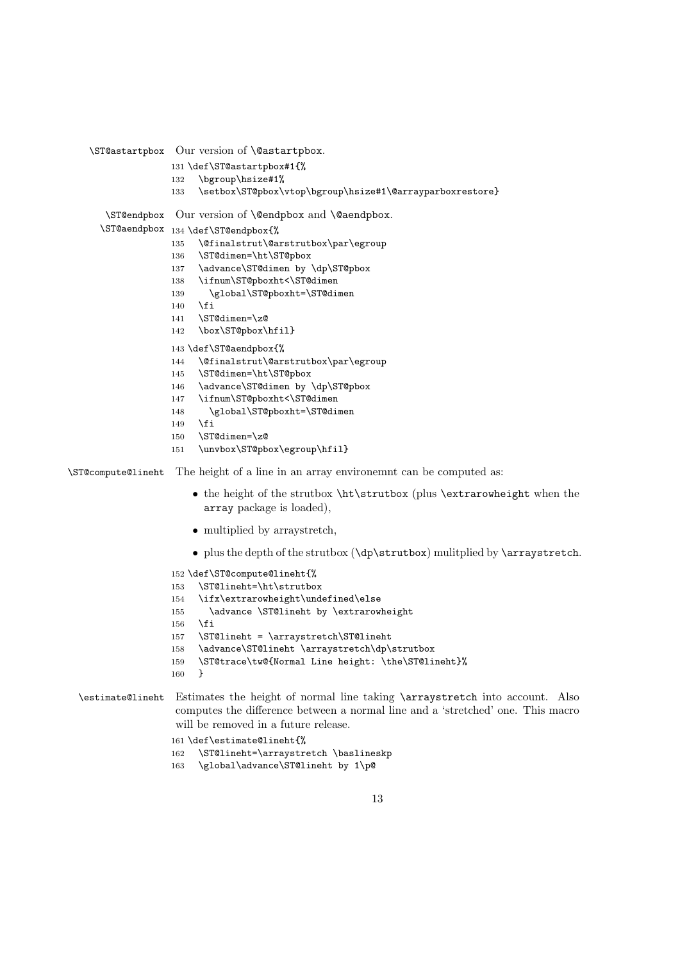```
\ST@astartpbox Our version of \@astartpbox.
                   131 \def\ST@astartpbox#1{%
                   132 \bgroup\hsize#1%
                   133 \setbox\ST@pbox\vtop\bgroup\hsize#1\@arrayparboxrestore}
       \ST@endpbox
Our version of \@endpbox and \@aendpbox.
      \ST@aendpbox
134 \def\ST@endpbox{%
                   135 \@finalstrut\@arstrutbox\par\egroup
                   136 \ST@dimen=\ht\ST@pbox
                   137 \advance\ST@dimen by \dp\ST@pbox
                   138 \ifnum\ST@pboxht<\ST@dimen
                   139 \global\ST@pboxht=\ST@dimen
                   140 \, \text{Vfi}141 \ST@dimen=\z@
                   142 \box\ST@pbox\hfil}
                   143 \def\ST@aendpbox{%
                   144 \@finalstrut\@arstrutbox\par\egroup
                   145 \ST@dimen=\ht\ST@pbox
                   146 \advance\ST@dimen by \dp\ST@pbox
                   147 \ifnum\ST@pboxht<\ST@dimen
                   148 \global\ST@pboxht=\ST@dimen
                   149 \fi
                   150 \ST@dimen=\z@
                   151 \unvbox\ST@pbox\egroup\hfil}
\ST@compute@lineht The height of a line in an array environemnt can be computed as:
                       • the height of the strutbox \ht\strutbox (plus \extrarowheight when the
                         array package is loaded),
                       • multiplied by arraystretch,
                       • plus the depth of the strutbox (\dp\strutbox) mulitplied by \arraystretch.
                   152 \def\ST@compute@lineht{%
                   153 \ST@lineht=\ht\strutbox
                   154 \ifx\extrarowheight\undefined\else
                   155 \advance \ST@lineht by \extrarowheight
                   156 \fi
                   157 \ST@lineht = \arraystretch\ST@lineht
                   158 \advance\ST@lineht \arraystretch\dp\strutbox
                   159 \ST@trace\tw@{Normal Line height: \the\ST@lineht}%
                   160 }
 \estimate@lineht Estimates the height of normal line taking \arraystretch into account. Also
                    computes the difference between a normal line and a 'stretched' one. This macro
                    will be removed in a future release.
                   161 \def\estimate@lineht{%
```

```
162 \ST@lineht=\arraystretch \baslineskp
```
\global\advance\ST@lineht by 1\p@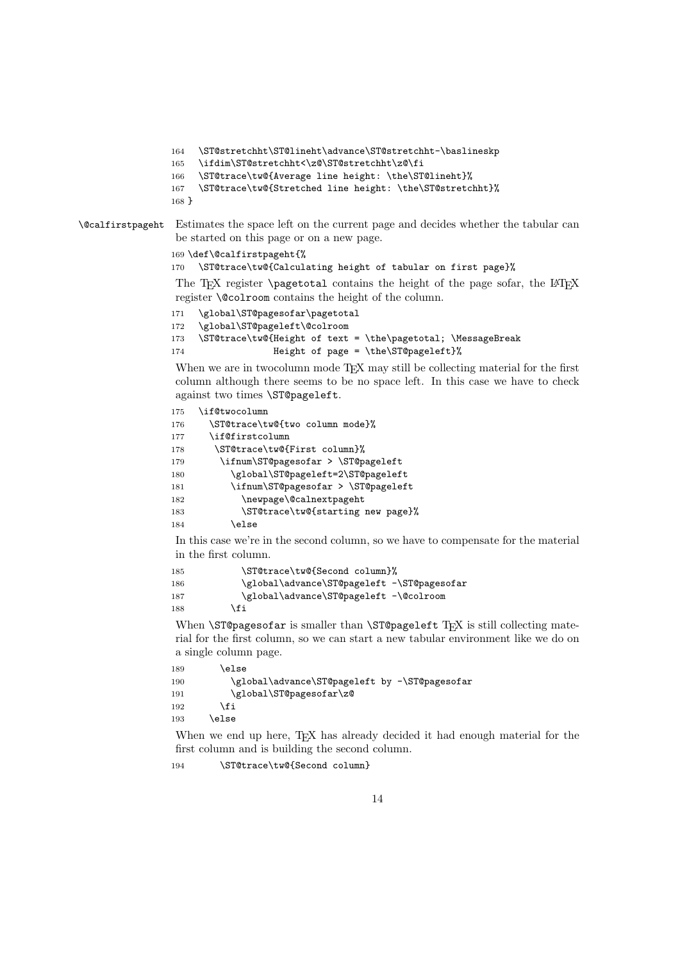```
164 \ST@stretchht\ST@lineht\advance\ST@stretchht-\baslineskp
165 \ifdim\ST@stretchht<\z@\ST@stretchht\z@\fi
166 \ST@trace\tw@{Average line height: \the\ST@lineht}%
167 \ST@trace\tw@{Stretched line height: \the\ST@stretchht}%
168 }
```
\@calfirstpageht Estimates the space left on the current page and decides whether the tabular can be started on this page or on a new page.

169 \def\@calfirstpageht{%

```
170 \ST@trace\tw@{Calculating height of tabular on first page}%
```
The T<sub>E</sub>X register \pagetotal contains the height of the page sofar, the LAT<sub>E</sub>X register \@colroom contains the height of the column.

```
171 \global\ST@pagesofar\pagetotal
172 \global\ST@pageleft\@colroom
173 \ST@trace\tw@{Height of text = \the\pagetotal; \MessageBreak
174 Height of page = \the\ST@pageleft}%
```
When we are in two column mode T<sub>E</sub>X may still be collecting material for the first column although there seems to be no space left. In this case we have to check against two times \ST@pageleft.

```
175 \if@twocolumn
176 \ST@trace\tw@{two column mode}%
177 \if@firstcolumn
178 \ST@trace\tw@{First column}%
179 \ifnum\ST@pagesofar > \ST@pageleft
180 \global\ST@pageleft=2\ST@pageleft
181 \ifnum\ST@pagesofar > \ST@pageleft
182 \newpage\@calnextpageht
183 \ST@trace\tw@{starting new page}%
184 \else
```
In this case we're in the second column, so we have to compensate for the material in the first column.

```
185 \ST@trace\tw@{Second column}%
186 \global\advance\ST@pageleft -\ST@pagesofar
187 \global\advance\ST@pageleft -\@colroom
188 \fi
```
When  $\S$ T@pagesofar is smaller than  $\S$ T@pageleft TEX is still collecting material for the first column, so we can start a new tabular environment like we do on a single column page.

```
189 \lambdaelse
190 \global\advance\ST@pageleft by -\ST@pagesofar
191 \global\ST@pagesofar\z@
192 \qquad \qquad \fi
193 \else
```
When we end up here, TEX has already decided it had enough material for the first column and is building the second column.

194 \ST@trace\tw@{Second column}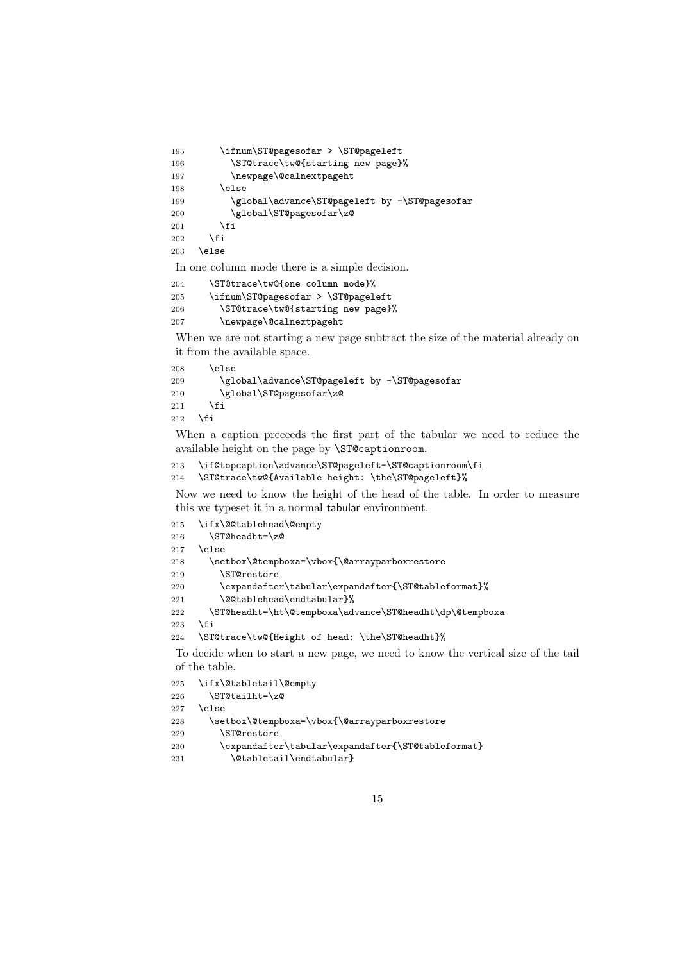```
195 \ifnum\ST@pagesofar > \ST@pageleft
196 \ST@trace\tw@{starting new page}%
197 \newpage\@calnextpageht
198 \else
199 \global\advance\ST@pageleft by -\ST@pagesofar
200 \global\ST@pagesofar\z@
201 \qquad \qquad \fi
202 \qquad \text{If }203 \else
```
In one column mode there is a simple decision.

```
204 \ST@trace\tw@{one column mode}%
205 \ifnum\ST@pagesofar > \ST@pageleft
206 \ST@trace\tw@{starting new page}%
207 \newpage\@calnextpageht
```
When we are not starting a new page subtract the size of the material already on it from the available space.

```
208 \else
209 \global\advance\ST@pageleft by -\ST@pagesofar
210 \global\ST@pagesofar\z@
211 \forallfi
212 \fi
```
When a caption preceeds the first part of the tabular we need to reduce the available height on the page by \ST@captionroom.

```
213 \if@topcaption\advance\ST@pageleft-\ST@captionroom\fi
214 \ST@trace\tw@{Available height: \the\ST@pageleft}%
```
Now we need to know the height of the head of the table. In order to measure this we typeset it in a normal tabular environment.

```
215 \ifx\@@tablehead\@empty
216 \ST@headht=\z@
217 \else
218 \setbox\@tempboxa=\vbox{\@arrayparboxrestore
219 \ST@restore
220 \expandafter\tabular\expandafter{\ST@tableformat}%
221 \@@tablehead\endtabular}%
222 \ST@headht=\ht\@tempboxa\advance\ST@headht\dp\@tempboxa
223 \fi
224 \ST@trace\tw@{Height of head: \the\ST@headht}%
```
To decide when to start a new page, we need to know the vertical size of the tail of the table.

```
225 \ifx\@tabletail\@empty
226 \ST@tailht=\z@
227 \else
228 \setbox\@tempboxa=\vbox{\@arrayparboxrestore
229 \ST@restore
230 \expandafter\tabular\expandafter{\ST@tableformat}
231 \@tabletail\endtabular}
```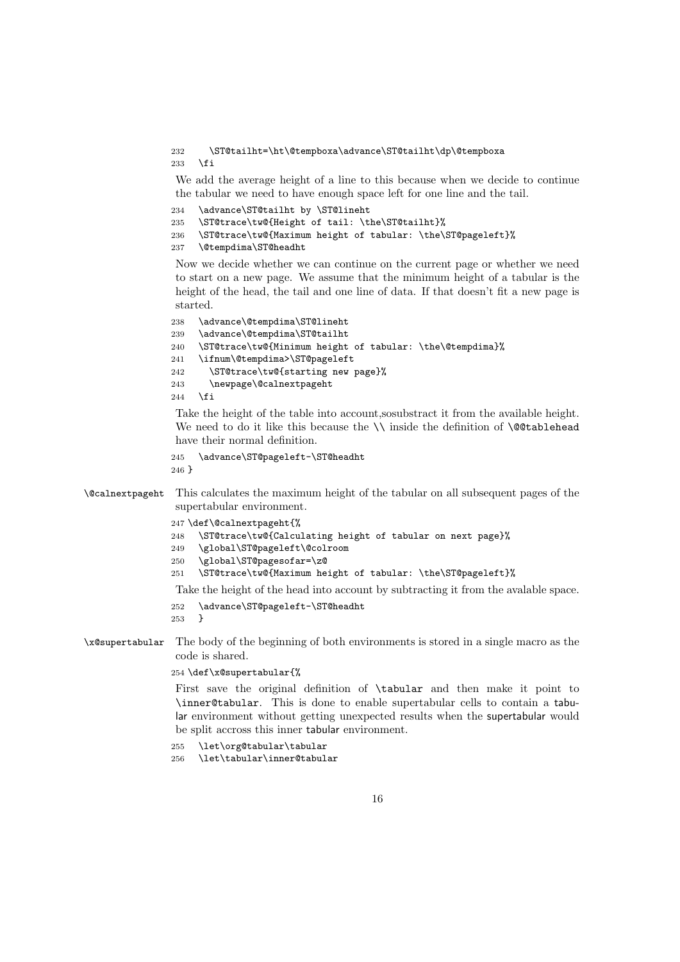```
232 \ST@tailht=\ht\@tempboxa\advance\ST@tailht\dp\@tempboxa
233 \fi
```
We add the average height of a line to this because when we decide to continue the tabular we need to have enough space left for one line and the tail.

```
234 \advance\ST@tailht by \ST@lineht
235 \ST@trace\tw@{Height of tail: \the\ST@tailht}%
236 \ST@trace\tw@{Maximum height of tabular: \the\ST@pageleft}%
237 \@tempdima\ST@headht
```
Now we decide whether we can continue on the current page or whether we need to start on a new page. We assume that the minimum height of a tabular is the height of the head, the tail and one line of data. If that doesn't fit a new page is started.

```
238 \advance\@tempdima\ST@lineht
239 \advance\@tempdima\ST@tailht
240 \ST@trace\tw@{Minimum height of tabular: \the\@tempdima}%
241 \ifnum\@tempdima>\ST@pageleft
242 \ST@trace\tw@{starting new page}%
243 \newpage\@calnextpageht
244 \fi
```
Take the height of the table into account, so ubstract it from the available height. We need to do it like this because the  $\setminus$  inside the definition of  $\@$ tablehead have their normal definition.

```
245 \advance\ST@pageleft-\ST@headht
246 }
```
\@calnextpageht This calculates the maximum height of the tabular on all subsequent pages of the supertabular environment.

247 \def\@calnextpageht{%

```
248 \ST@trace\tw@{Calculating height of tabular on next page}%
```

```
249 \global\ST@pageleft\@colroom
```

```
250 \global\ST@pagesofar=\z@
```

```
251 \ST@trace\tw@{Maximum height of tabular: \the\ST@pageleft}%
```
Take the height of the head into account by subtracting it from the avalable space.

```
252 \advance\ST@pageleft-\ST@headht
```
253 }

\x@supertabular The body of the beginning of both environments is stored in a single macro as the code is shared.

#### 254 \def\x@supertabular{%

First save the original definition of \tabular and then make it point to \inner@tabular. This is done to enable supertabular cells to contain a tabular environment without getting unexpected results when the supertabular would be split accross this inner tabular environment.

```
255 \let\org@tabular\tabular
```

```
256 \let\tabular\inner@tabular
```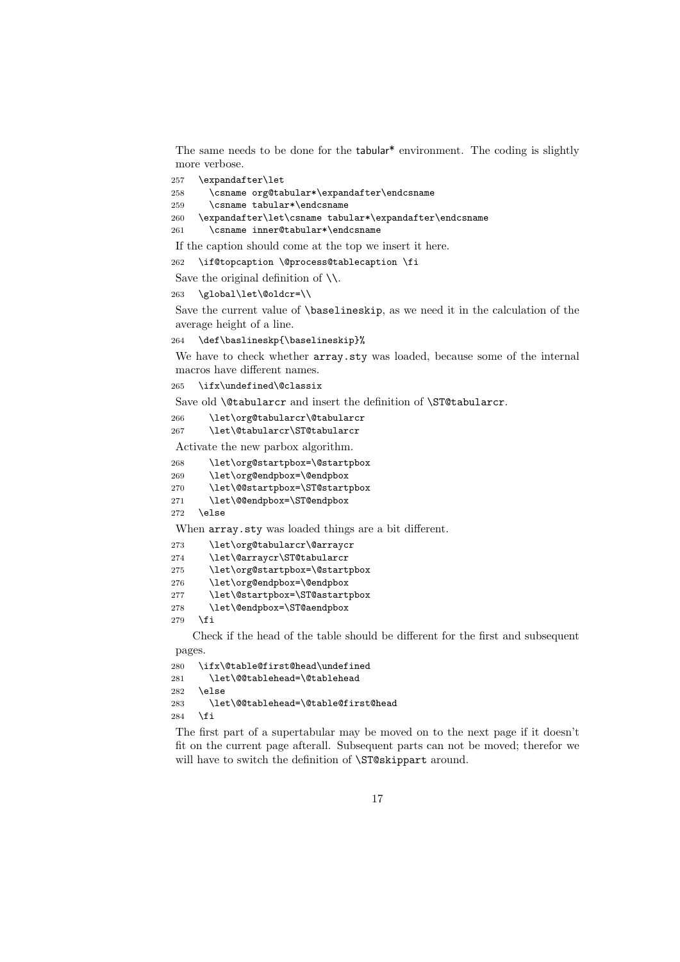The same needs to be done for the tabular\* environment. The coding is slightly more verbose.

\expandafter\let

```
258 \csname org@tabular*\expandafter\endcsname
```
\csname tabular\*\endcsname

```
260 \expandafter\let\csname tabular*\expandafter\endcsname
```
\csname inner@tabular\*\endcsname

If the caption should come at the top we insert it here.

\if@topcaption \@process@tablecaption \fi

- Save the original definition of  $\setminus \setminus$ .
- \global\let\@oldcr=\\

Save the current value of \baselineskip, as we need it in the calculation of the average height of a line.

\def\baslineskp{\baselineskip}%

We have to check whether  $array$ **sty** $was loaded, because some of the internal$ macros have different names.

\ifx\undefined\@classix

Save old **\@tabularcr** and insert the definition of **\ST@tabularcr**.

- \let\org@tabularcr\@tabularcr
- \let\@tabularcr\ST@tabularcr

Activate the new parbox algorithm.

```
268 \let\org@startpbox=\@startpbox
```
- \let\org@endpbox=\@endpbox
- \let\@@startpbox=\ST@startpbox
- \let\@@endpbox=\ST@endpbox
- \else

When array.sty was loaded things are a bit different.

```
273 \let\org@tabularcr\@arraycr
274 \let\@arraycr\ST@tabularcr
275 \let\org@startpbox=\@startpbox
276 \let\org@endpbox=\@endpbox
277 \let\@startpbox=\ST@astartpbox
278 \let\@endpbox=\ST@aendpbox
279 \fi
```
Check if the head of the table should be different for the first and subsequent pages.

```
280 \ifx\@table@first@head\undefined
281 \let\@@tablehead=\@tablehead
282 \else
283 \let\@@tablehead=\@table@first@head
284 \fi
```
The first part of a supertabular may be moved on to the next page if it doesn't fit on the current page afterall. Subsequent parts can not be moved; therefor we will have to switch the definition of **\ST@skippart** around.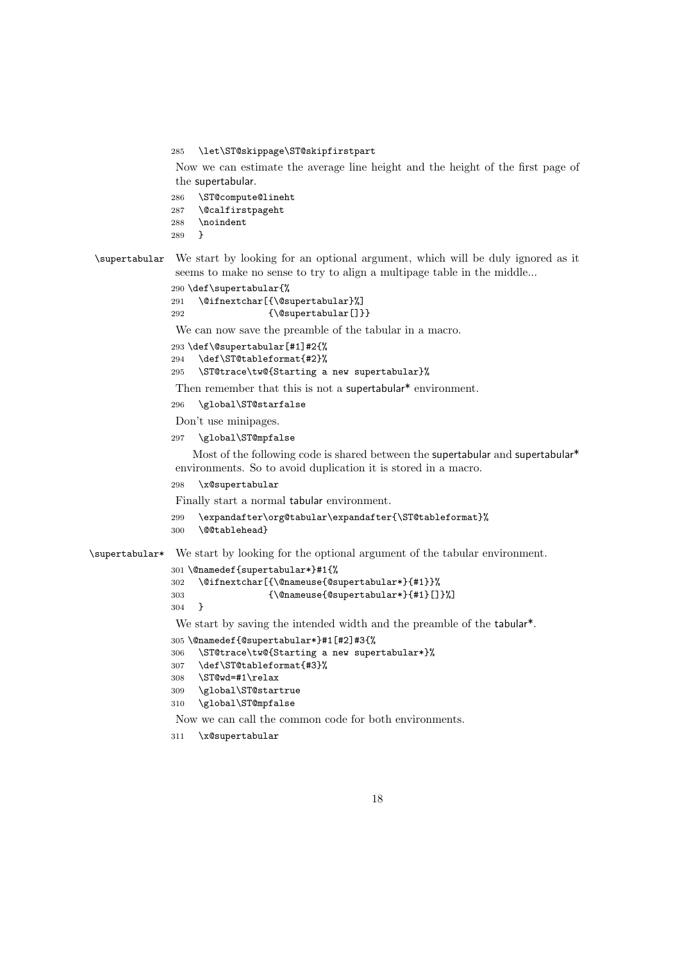\let\ST@skippage\ST@skipfirstpart

Now we can estimate the average line height and the height of the first page of the supertabular.

- \ST@compute@lineht
- \@calfirstpageht
- \noindent
- }

\supertabular We start by looking for an optional argument, which will be duly ignored as it seems to make no sense to try to align a multipage table in the middle...

```
290 \def\supertabular{%
291 \@ifnextchar[{\@supertabular}%]
292 {\@supertabular[]}}
```
We can now save the preamble of the tabular in a macro.

```
293 \def\@supertabular[#1]#2{%
```

```
294 \def\ST@tableformat{#2}%
```

```
295 \ST@trace\tw@{Starting a new supertabular}%
```
Then remember that this is not a supertabular<sup>\*</sup> environment.

```
296 \global\ST@starfalse
```
Don't use minipages.

\global\ST@mpfalse

Most of the following code is shared between the supertabular and supertabular<sup>\*</sup> environments. So to avoid duplication it is stored in a macro.

\x@supertabular

Finally start a normal tabular environment.

```
299 \expandafter\org@tabular\expandafter{\ST@tableformat}%
```

```
300 \@@tablehead}
```
\supertabular\* We start by looking for the optional argument of the tabular environment.

```
301 \@namedef{supertabular*}#1{%
302 \@ifnextchar[{\@nameuse{@supertabular*}{#1}}%
303 {\@nameuse{@supertabular*}{#1}[]}%]
304 }
```
We start by saving the intended width and the preamble of the tabular<sup>\*</sup>.

```
305 \@namedef{@supertabular*}#1[#2]#3{%
```

```
306 \ST@trace\tw@{Starting a new supertabular*}%
```

```
307 \def\ST@tableformat{#3}%
```

```
308 \ST@wd=#1\relax
```

```
309 \global\ST@startrue
```

```
310 \global\ST@mpfalse
```
Now we can call the common code for both environments.

```
311 \x@supertabular
```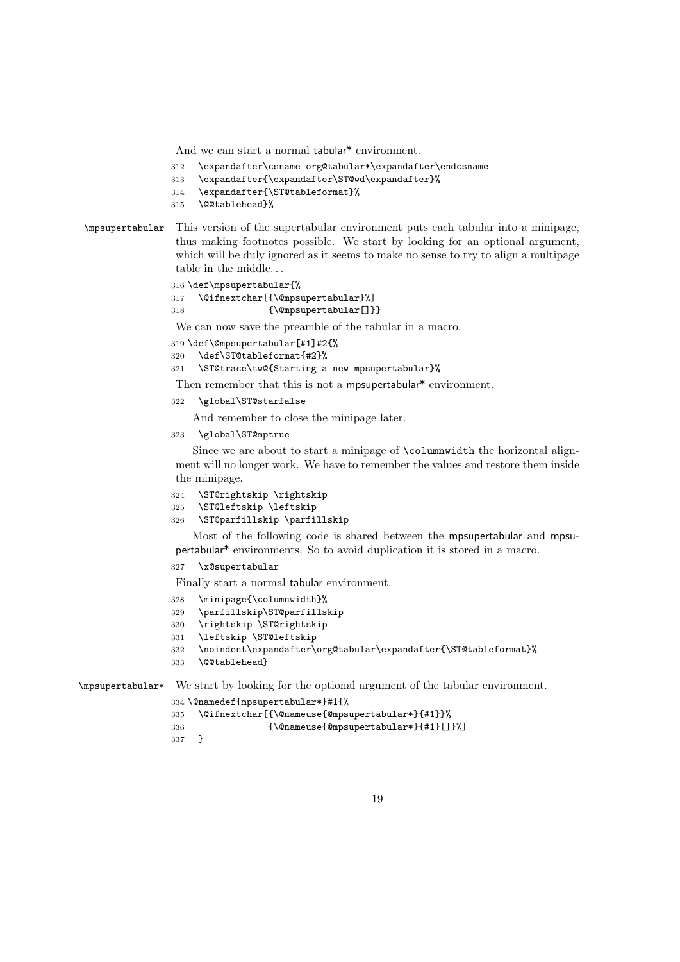And we can start a normal tabular\* environment.

```
312 \expandafter\csname org@tabular*\expandafter\endcsname
```
- \expandafter{\expandafter\ST@wd\expandafter}%
- \expandafter{\ST@tableformat}%
- \@@tablehead}%

#### \mpsupertabular This version of the supertabular environment puts each tabular into a minipage, thus making footnotes possible. We start by looking for an optional argument, which will be duly ignored as it seems to make no sense to try to align a multipage table in the middle. . .

```
316 \def\mpsupertabular{%
317 \@ifnextchar[{\@mpsupertabular}%]
318 {\@mpsupertabular[]}}
```
We can now save the preamble of the tabular in a macro.

```
319 \def\@mpsupertabular[#1]#2{%
```

```
320 \def\ST@tableformat{#2}%
```

```
321 \ST@trace\tw@{Starting a new mpsupertabular}%
```
Then remember that this is not a mpsupertabular<sup>\*</sup> environment.

\global\ST@starfalse

And remember to close the minipage later.

\global\ST@mptrue

Since we are about to start a minipage of \columnwidth the horizontal alignment will no longer work. We have to remember the values and restore them inside the minipage.

```
324 \ST@rightskip \rightskip
```
\ST@leftskip \leftskip

```
326 \ST@parfillskip \parfillskip
```
Most of the following code is shared between the mpsupertabular and mpsupertabular\* environments. So to avoid duplication it is stored in a macro.

\x@supertabular

Finally start a normal tabular environment.

- \minipage{\columnwidth}%
- \parfillskip\ST@parfillskip
- \rightskip \ST@rightskip
- \leftskip \ST@leftskip
- \noindent\expandafter\org@tabular\expandafter{\ST@tableformat}%
- \@@tablehead}

\mpsupertabular\* We start by looking for the optional argument of the tabular environment.

```
334 \@namedef{mpsupertabular*}#1{%
```

```
335 \@ifnextchar[{\@nameuse{@mpsupertabular*}{#1}}%
```
- {\@nameuse{@mpsupertabular\*}{#1}[]}%]
- }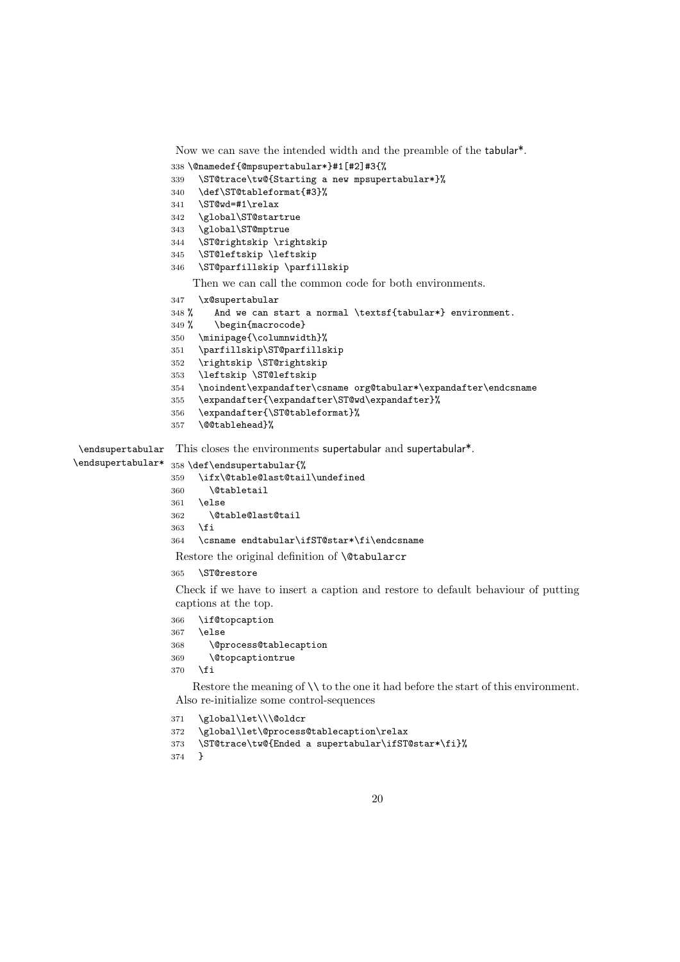```
Now we can save the intended width and the preamble of the tabular*.
                  338 \@namedef{@mpsupertabular*}#1[#2]#3{%
                  339 \ST@trace\tw@{Starting a new mpsupertabular*}%
                  340 \def\ST@tableformat{#3}%
                  341 \ST@wd=#1\relax
                  342 \global\ST@startrue
                  343 \global\ST@mptrue
                  344 \ST@rightskip \rightskip
                  345 \ST@leftskip \leftskip
                  346 \ST@parfillskip \parfillskip
                      Then we can call the common code for both environments.
                  347 \x@supertabular
                  348 % And we can start a normal \textsf{tabular*} environment.
                  349 % \begin{macrocode}
                  350 \minipage{\columnwidth}%
                  351 \parfillskip\ST@parfillskip
                  352 \rightskip \ST@rightskip
                  353 \leftskip \ST@leftskip
                  354 \noindent\expandafter\csname org@tabular*\expandafter\endcsname
                  355 \expandafter{\expandafter\ST@wd\expandafter}%
                  356 \expandafter{\ST@tableformat}%
                  357 \@@tablehead}%
 \endsupertabular
\endsupertabular*
                  This closes the environments supertabular and supertabular*.
                  358 \def\endsupertabular{%
                  359 \ifx\@table@last@tail\undefined
                  360 \@tabletail
                  361 \else
                  362 \@table@last@tail
                  363 \fi
                  364 \csname endtabular\ifST@star*\fi\endcsname
                   Restore the original definition of \@tabularcr
                  365 \ST@restore
                   Check if we have to insert a caption and restore to default behaviour of putting
                   captions at the top.
                  366 \if@topcaption
                  367 \else
                  368 \@process@tablecaption
                  369 \@topcaptiontrue
                  370 \fi
                      Restore the meaning of \setminus \setminus to the one it had before the start of this environment.
                   Also re-initialize some control-sequences
                  371 \global\let\\\@oldcr
                  372 \global\let\@process@tablecaption\relax
                  373 \ST@trace\tw@{Ended a supertabular\ifST@star*\fi}%
```

```
374 }
```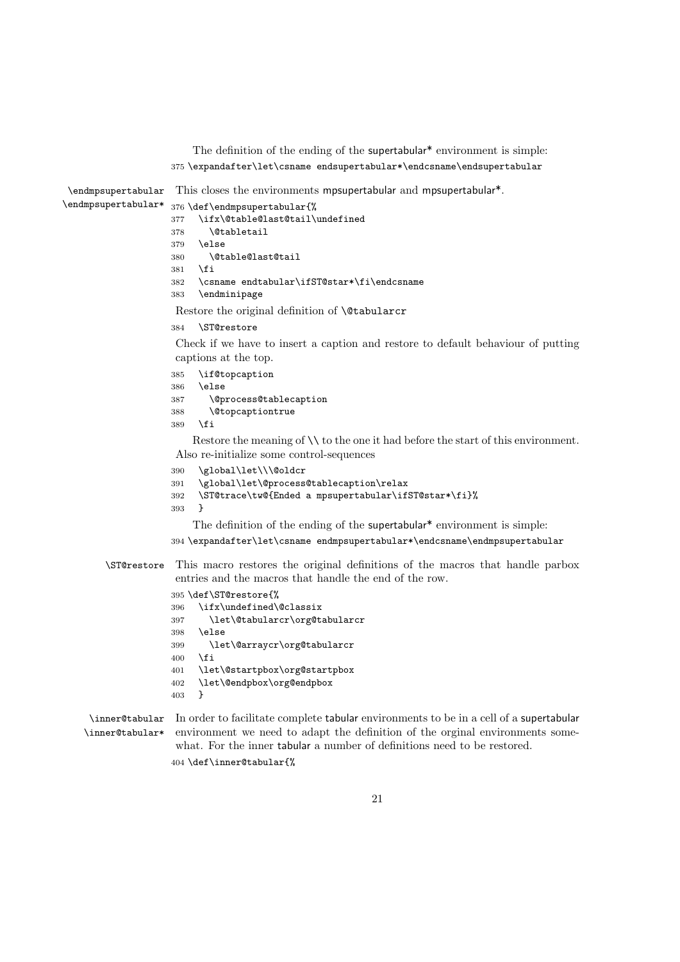The definition of the ending of the supertabular\* environment is simple: \expandafter\let\csname endsupertabular\*\endcsname\endsupertabular

\endmpsupertabular This closes the environments mpsupertabular and mpsupertabular\*. \endmpsupertabular\* \def\endmpsupertabular{% \ifx\@table@last@tail\undefined \@tabletail \else \@table@last@tail \fi \csname endtabular\ifST@star\*\fi\endcsname \endminipage Restore the original definition of \@tabularcr \ST@restore Check if we have to insert a caption and restore to default behaviour of putting captions at the top. \if@topcaption \else \@process@tablecaption \@topcaptiontrue \fi Restore the meaning of  $\setminus \setminus$  to the one it had before the start of this environment. Also re-initialize some control-sequences \global\let\\\@oldcr \global\let\@process@tablecaption\relax \ST@trace\tw@{Ended a mpsupertabular\ifST@star\*\fi}% } The definition of the ending of the supertabular\* environment is simple:

\expandafter\let\csname endmpsupertabular\*\endcsname\endmpsupertabular

\ST@restore This macro restores the original definitions of the macros that handle parbox entries and the macros that handle the end of the row.

```
395 \def\ST@restore{%
396 \ifx\undefined\@classix
397 \let\@tabularcr\org@tabularcr
398 \else
399 \let\@arraycr\org@tabularcr
400 \fi
401 \let\@startpbox\org@startpbox
402 \let\@endpbox\org@endpbox
403 }
```
\inner@tabular In order to facilitate complete tabular environments to be in a cell of a supertabular \inner@tabular\* environment we need to adapt the definition of the orginal environments somewhat. For the inner tabular a number of definitions need to be restored. \def\inner@tabular{%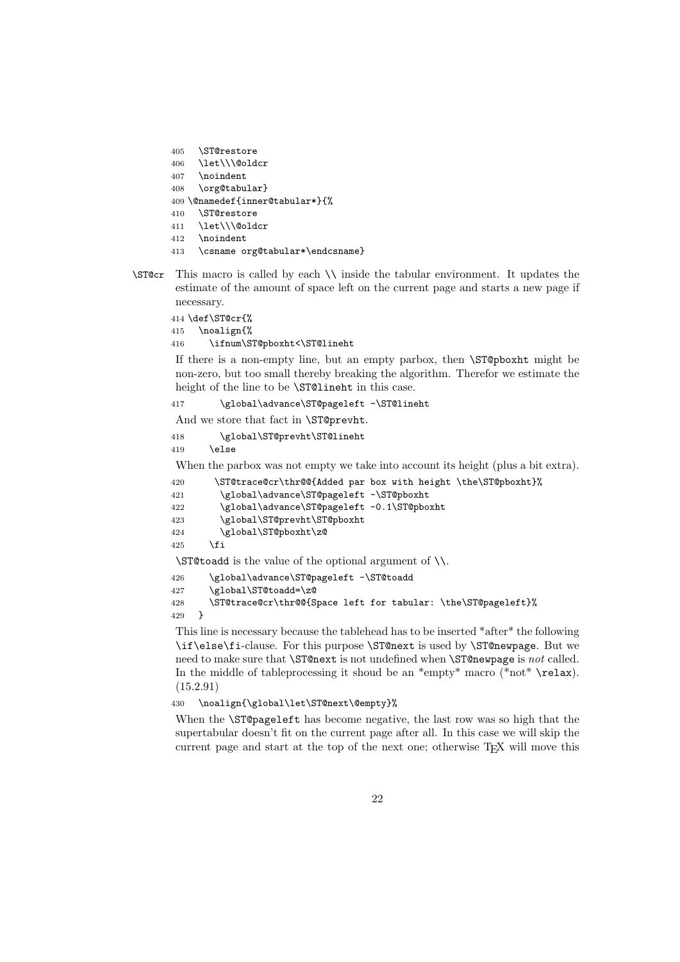```
405 \ST@restore
406 \let\\\@oldcr
407 \noindent
408 \org@tabular}
409 \@namedef{inner@tabular*}{%
410 \ST@restore
411 \let\\\@oldcr
412 \noindent
413 \csname org@tabular*\endcsname}
```
\ST@cr This macro is called by each \\ inside the tabular environment. It updates the estimate of the amount of space left on the current page and starts a new page if necessary.

414 \def\ST@cr{%

```
415 \noalign{%
```
416 \ifnum\ST@pboxht<\ST@lineht

If there is a non-empty line, but an empty parbox, then \ST@pboxht might be non-zero, but too small thereby breaking the algorithm. Therefor we estimate the height of the line to be \ST@lineht in this case.

417 \global\advance\ST@pageleft -\ST@lineht

And we store that fact in \ST@prevht.

418 \global\ST@prevht\ST@lineht 419 \else

When the parbox was not empty we take into account its height (plus a bit extra).

420 \ST@trace@cr\thr@@{Added par box with height \the\ST@pboxht}%

```
421 \global\advance\ST@pageleft -\ST@pboxht
```

```
422 \global\advance\ST@pageleft -0.1\ST@pboxht
```

```
423 \global\ST@prevht\ST@pboxht
```

```
424 \global\ST@pboxht\z@
```

```
425 \fi
```
\ST@toadd is the value of the optional argument of \\.

```
426 \global\advance\ST@pageleft -\ST@toadd
427 \global\ST@toadd=\z@
```

```
428 \ST@trace@cr\thr@@{Space left for tabular: \the\ST@pageleft}%
429 }
```
This line is necessary because the tablehead has to be inserted \*after\* the following \if\else\fi-clause. For this purpose \ST@next is used by \ST@newpage. But we need to make sure that **\ST@next** is not undefined when **\ST@newpage** is not called. In the middle of tableprocessing it shoud be an  $*$ empty $*$  macro ( $*$ not $*$  \relax). (15.2.91)

430 \noalign{\global\let\ST@next\@empty}%

When the \ST@pageleft has become negative, the last row was so high that the supertabular doesn't fit on the current page after all. In this case we will skip the current page and start at the top of the next one; otherwise T<sub>E</sub>X will move this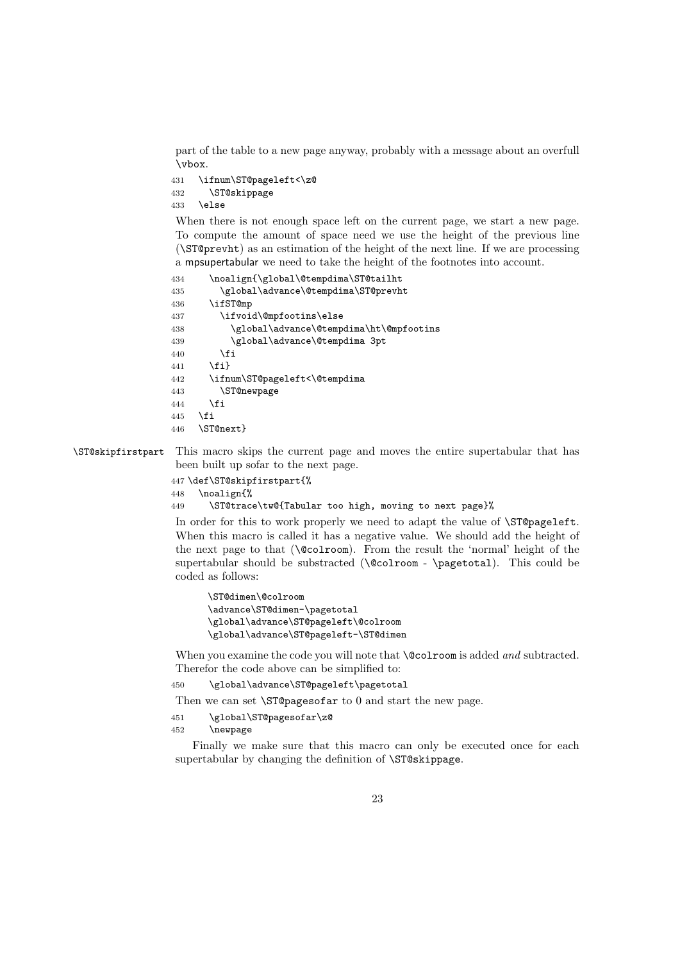part of the table to a new page anyway, probably with a message about an overfull \vbox.

```
431 \ifnum\ST@pageleft<\z@
432 \ST@skippage
433 \else
```
When there is not enough space left on the current page, we start a new page. To compute the amount of space need we use the height of the previous line (\ST@prevht) as an estimation of the height of the next line. If we are processing a mpsupertabular we need to take the height of the footnotes into account.

```
434 \noalign{\global\@tempdima\ST@tailht
435 \global\advance\@tempdima\ST@prevht
436 \ifST@mp
437 \ifvoid\@mpfootins\else
438 \global\advance\@tempdima\ht\@mpfootins
439 \global\advance\@tempdima 3pt
440 \fi
441 \{f_i\}442 \ifnum\ST@pageleft<\@tempdima
443 \ST@newpage
444 \fi
445 \fi
446 \ST@next}
```
\ST@skipfirstpart This macro skips the current page and moves the entire supertabular that has been built up sofar to the next page.

```
447 \def\ST@skipfirstpart{%
448 \noalign{%
```
449 \ST@trace\tw@{Tabular too high, moving to next page}%

In order for this to work properly we need to adapt the value of \ST@pageleft. When this macro is called it has a negative value. We should add the height of the next page to that (\@colroom). From the result the 'normal' height of the supertabular should be substracted  $(\text{Qcolroom - } \text{)}$ . This could be coded as follows:

```
\ST@dimen\@colroom
\advance\ST@dimen-\pagetotal
\global\advance\ST@pageleft\@colroom
\global\advance\ST@pageleft-\ST@dimen
```
When you examine the code you will note that **\@colroom** is added and subtracted. Therefor the code above can be simplified to:

450 \global\advance\ST@pageleft\pagetotal

Then we can set **\ST@pagesofar** to 0 and start the new page.

```
451 \global\ST@pagesofar\z@
```
452 \newpage

Finally we make sure that this macro can only be executed once for each supertabular by changing the definition of **\ST@skippage**.